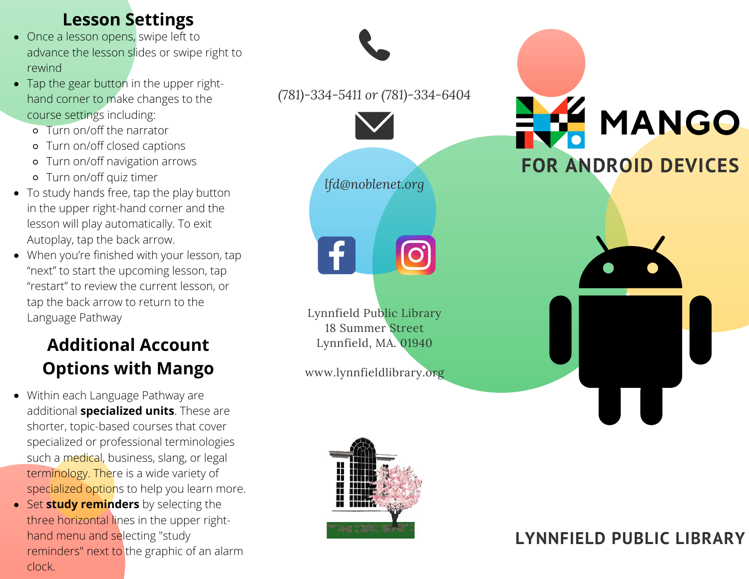### **Lesson Settings**

- Once a lesson opens, swipe left to advance the lesson slides or swipe right to rewind
- Tap the gear button in the upper righthand corner to make changes to the course settings including:
	- Turn on/off the narrator
	- Turn on/off closed captions
	- Turn on/off navigation arrows
	- Turn on/off quiz timer
- To study hands free, tap the play button in the upper right-hand corner and the lesson will play automatically. To exit Autoplay, tap the back arrow.
- When you're finished with your lesson, tap "next" to start the upcoming lesson, tap "restart" to review the current lesson, or tap the back arrow to return to the Language Pathway

# **Additional Account Options with Mango**

- Within each Language Pathway are additional **specialized units**. These are shorter, topic-based courses that cover specialized or professional terminologies such a medical, business, slang, or legal terminology. There is a wide variety of specialized options to help you learn more.
- **Set study reminders** by selecting the three horizontal lines in the upper righthand menu and selecting "study reminders" next to the graphic of an alarm clock.

*(781)-334-5411 or (781)-334-6404 lfd@noblenet.org* Lynnfield Public Library 18 Summer Street Lynnfield, MA. 01940 www.lynnfieldlibrary.org **FOR ANDROID DEVICES**



# **LYNNFIELD PUBLIC LIBRARY**

MANGO